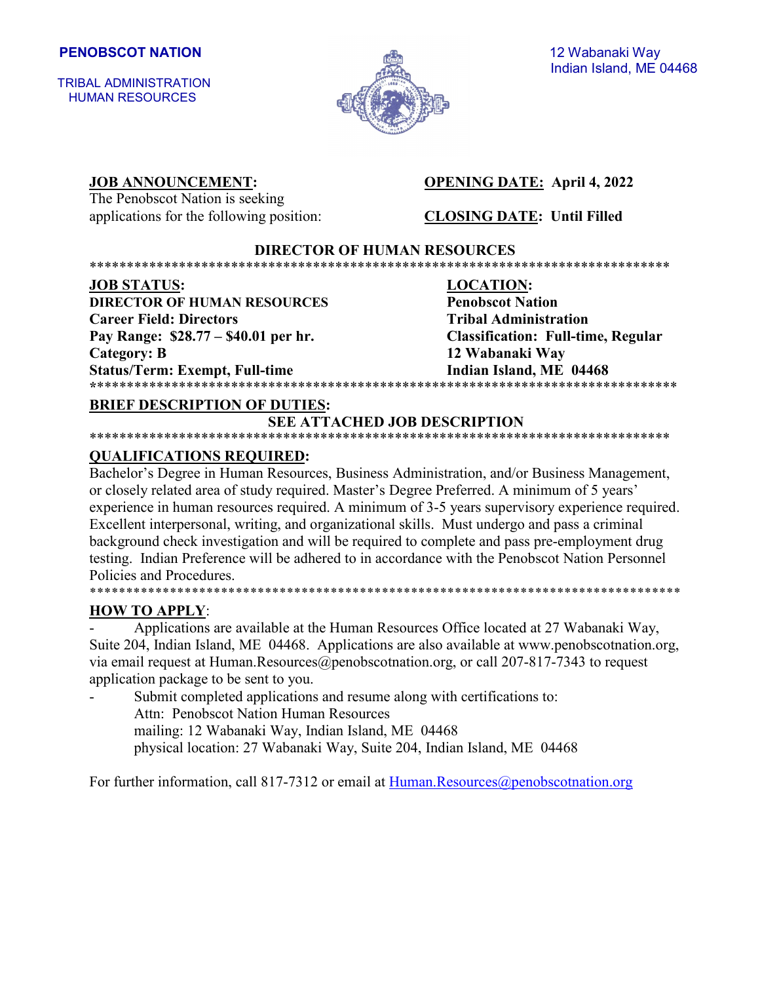TRIBAL ADMINISTRATION HUMAN RESOURCES



# Indian Island, ME 04468

The Penobscot Nation is seeking applications for the following position: **CLOSING DATE: Until Filled**

#### **JOB ANNOUNCEMENT: OPENING DATE:** April 4, 2022

#### **DIRECTOR OF HUMAN RESOURCES** \*\*\*\*\*\*\*\*\*\*\*\*\*\*\*\*\*\*\*\*\*\*\*\*\*\*\*\*\*\*\*\*\*\*\*\*\*\*\*\*\*\*\*\*\*\*\*\*\*\*\*\*\*\*\*\*\*\*\*\*\*\*\*\*\*\*\*\*\*\*\*\*\*\*\*\*\*\*

**JOB STATUS: LOCATION: DIRECTOR OF HUMAN RESOURCES Penobscot Nation Career Field: Directors Tribal Administration Pay Range: \$28.77 – \$40.01 per hr. Classification: Full-time, Regular Category: B 12 Wabanaki Way** Status/Term: Exempt, Full-time Indian Island, ME 04468

**\***\*\*\*\*\*\*\*\*\*\*\*\*\*\*\*\*\*\*\*\*\*\*\*\*\*\*\*\*\*\*\*\*\*\*\*\*\*\*\*\*\*\*\*\*\*\*\*\*\*\*\*\*\*\*\*\*\*\*\*\*\*\*\*\*\*\*\*\*\*\*\*\*\*\*\*\*\*\*

#### **BRIEF DESCRIPTION OF DUTIES:**

### **SEE ATTACHED JOB DESCRIPTION**

#### \*\*\*\*\*\*\*\*\*\*\*\*\*\*\*\*\*\*\*\*\*\*\*\*\*\*\*\*\*\*\*\*\*\*\*\*\*\*\*\*\*\*\*\*\*\*\*\*\*\*\*\*\*\*\*\*\*\*\*\*\*\*\*\*\*\*\*\*\*\*\*\*\*\*\*\*\*\* **QUALIFICATIONS REQUIRED:**

Bachelor's Degree in Human Resources, Business Administration, and/or Business Management, or closely related area of study required. Master's Degree Preferred. A minimum of 5 years' experience in human resources required. A minimum of 3-5 years supervisory experience required. Excellent interpersonal, writing, and organizational skills. Must undergo and pass a criminal background check investigation and will be required to complete and pass pre-employment drug testing. Indian Preference will be adhered to in accordance with the Penobscot Nation Personnel Policies and Procedures. \*\*\*\*\*\*\*\*\*\*\*\*\*\*\*\*\*\*\*\*\*\*\*\*\*\*\*\*\*\*\*\*\*\*\*\*\*\*\*\*\*\*\*\*\*\*\*\*\*\*\*\*\*\*\*\*\*\*\*\*\*\*\*\*\*\*\*\*\*\*\*\*\*\*\*\*\*\*\*\*\*

#### **HOW TO APPLY**:

Applications are available at the Human Resources Office located at 27 Wabanaki Way, Suite 204, Indian Island, ME 04468. Applications are also available at www.penobscotnation.org, via email request at Human.Resources@penobscotnation.org, or call 207-817-7343 to request application package to be sent to you.

Submit completed applications and resume along with certifications to: Attn: Penobscot Nation Human Resources mailing: 12 Wabanaki Way, Indian Island, ME 04468 physical location: 27 Wabanaki Way, Suite 204, Indian Island, ME 04468

For further information, call 817-7312 or email at [Human.Resources@penobscotnation.org](mailto:Human.Resources@penobscotnation.org)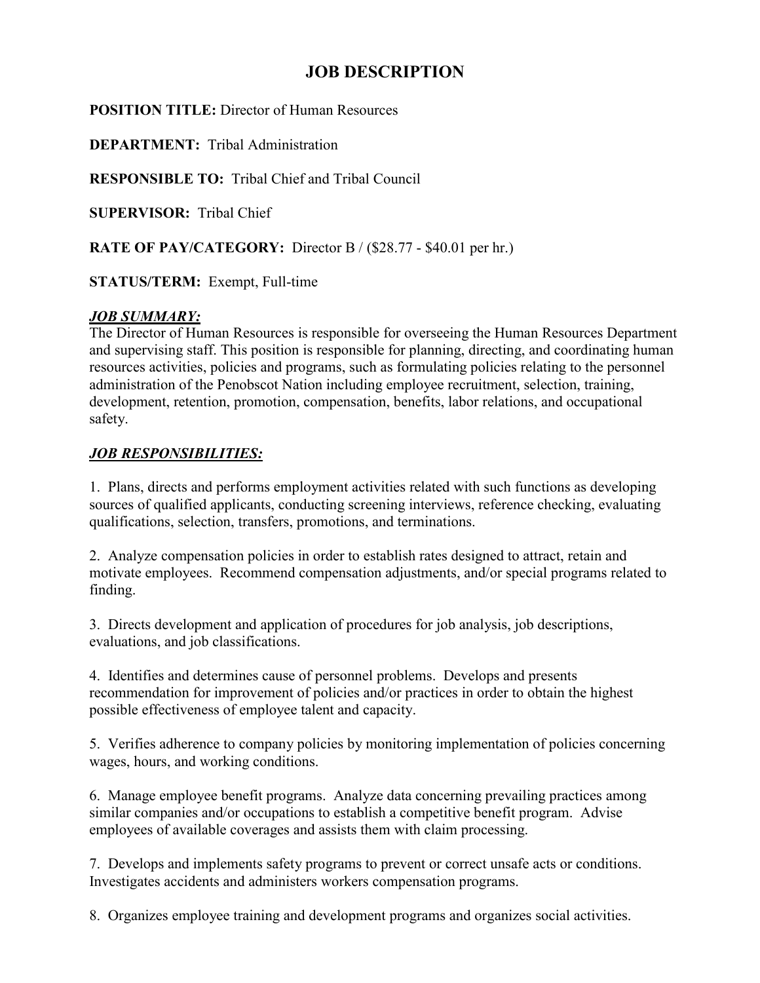## **JOB DESCRIPTION**

**POSITION TITLE:** Director of Human Resources

**DEPARTMENT:** Tribal Administration

**RESPONSIBLE TO:** Tribal Chief and Tribal Council

**SUPERVISOR:** Tribal Chief

**RATE OF PAY/CATEGORY:** Director B / (\$28.77 - \$40.01 per hr.)

**STATUS/TERM:** Exempt, Full-time

### *JOB SUMMARY:*

The Director of Human Resources is responsible for overseeing the Human Resources Department and supervising staff. This position is responsible for planning, directing, and coordinating human resources activities, policies and programs, such as formulating policies relating to the personnel administration of the Penobscot Nation including employee recruitment, selection, training, development, retention, promotion, compensation, benefits, labor relations, and occupational safety.

### *JOB RESPONSIBILITIES:*

1. Plans, directs and performs employment activities related with such functions as developing sources of qualified applicants, conducting screening interviews, reference checking, evaluating qualifications, selection, transfers, promotions, and terminations.

2. Analyze compensation policies in order to establish rates designed to attract, retain and motivate employees. Recommend compensation adjustments, and/or special programs related to finding.

3. Directs development and application of procedures for job analysis, job descriptions, evaluations, and job classifications.

4. Identifies and determines cause of personnel problems. Develops and presents recommendation for improvement of policies and/or practices in order to obtain the highest possible effectiveness of employee talent and capacity.

5. Verifies adherence to company policies by monitoring implementation of policies concerning wages, hours, and working conditions.

6. Manage employee benefit programs. Analyze data concerning prevailing practices among similar companies and/or occupations to establish a competitive benefit program. Advise employees of available coverages and assists them with claim processing.

7. Develops and implements safety programs to prevent or correct unsafe acts or conditions. Investigates accidents and administers workers compensation programs.

8. Organizes employee training and development programs and organizes social activities.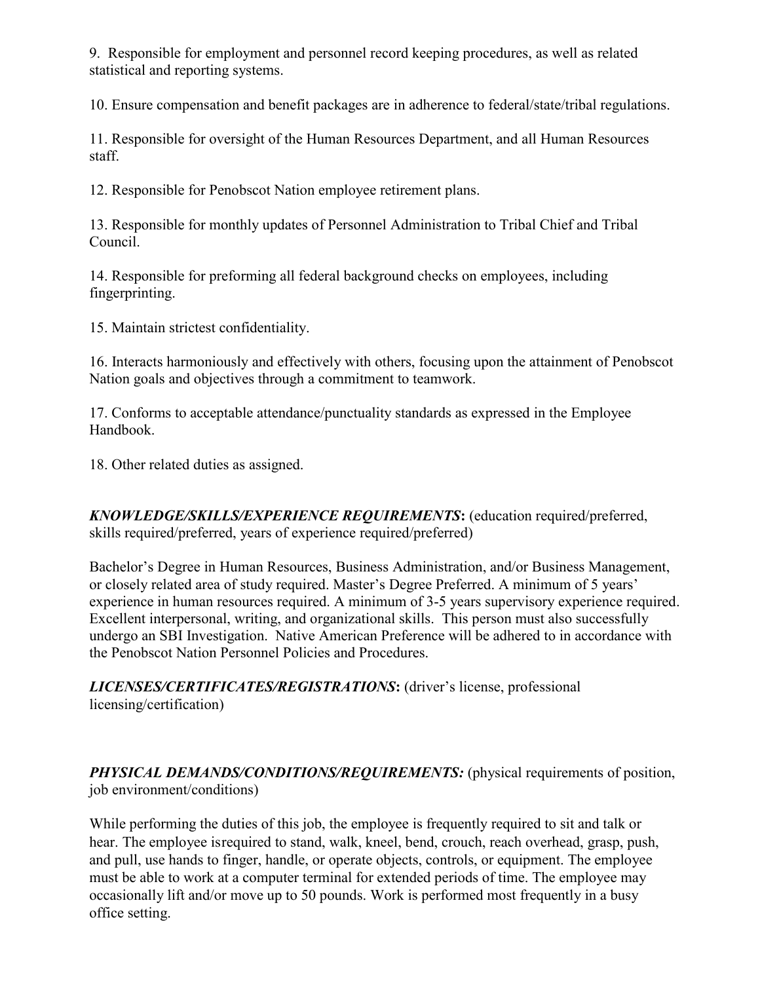9. Responsible for employment and personnel record keeping procedures, as well as related statistical and reporting systems.

10. Ensure compensation and benefit packages are in adherence to federal/state/tribal regulations.

11. Responsible for oversight of the Human Resources Department, and all Human Resources staff.

12. Responsible for Penobscot Nation employee retirement plans.

13. Responsible for monthly updates of Personnel Administration to Tribal Chief and Tribal Council.

14. Responsible for preforming all federal background checks on employees, including fingerprinting.

15. Maintain strictest confidentiality.

16. Interacts harmoniously and effectively with others, focusing upon the attainment of Penobscot Nation goals and objectives through a commitment to teamwork.

17. Conforms to acceptable attendance/punctuality standards as expressed in the Employee Handbook.

18. Other related duties as assigned.

*KNOWLEDGE/SKILLS/EXPERIENCE REQUIREMENTS***:** (education required/preferred, skills required/preferred, years of experience required/preferred)

Bachelor's Degree in Human Resources, Business Administration, and/or Business Management, or closely related area of study required. Master's Degree Preferred. A minimum of 5 years' experience in human resources required. A minimum of 3-5 years supervisory experience required. Excellent interpersonal, writing, and organizational skills. This person must also successfully undergo an SBI Investigation. Native American Preference will be adhered to in accordance with the Penobscot Nation Personnel Policies and Procedures.

*LICENSES/CERTIFICATES/REGISTRATIONS***:** (driver's license, professional licensing/certification)

*PHYSICAL DEMANDS/CONDITIONS/REQUIREMENTS:* (physical requirements of position, job environment/conditions)

While performing the duties of this job, the employee is frequently required to sit and talk or hear. The employee isrequired to stand, walk, kneel, bend, crouch, reach overhead, grasp, push, and pull, use hands to finger, handle, or operate objects, controls, or equipment. The employee must be able to work at a computer terminal for extended periods of time. The employee may occasionally lift and/or move up to 50 pounds. Work is performed most frequently in a busy office setting.